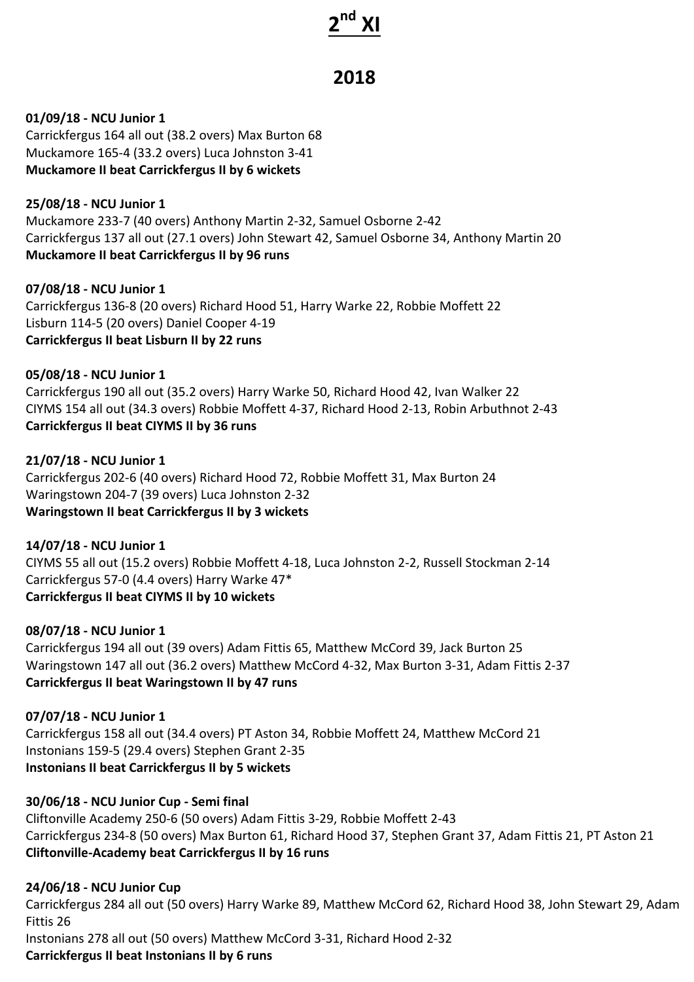# **2nd XI**

# **2018**

**01/09/18 - NCU Junior 1** Carrickfergus 164 all out (38.2 overs) Max Burton 68 Muckamore 165-4 (33.2 overs) Luca Johnston 3-41 **Muckamore II beat Carrickfergus II by 6 wickets** 

**25/08/18 - NCU Junior 1** Muckamore 233-7 (40 overs) Anthony Martin 2-32, Samuel Osborne 2-42 Carrickfergus 137 all out (27.1 overs) John Stewart 42, Samuel Osborne 34, Anthony Martin 20 **Muckamore II beat Carrickfergus II by 96 runs** 

**07/08/18 - NCU Junior 1** Carrickfergus 136-8 (20 overs) Richard Hood 51, Harry Warke 22, Robbie Moffett 22 Lisburn 114-5 (20 overs) Daniel Cooper 4-19 **Carrickfergus II beat Lisburn II by 22 runs** 

**05/08/18 - NCU Junior 1** Carrickfergus 190 all out (35.2 overs) Harry Warke 50, Richard Hood 42, Ivan Walker 22 CIYMS 154 all out (34.3 overs) Robbie Moffett 4-37, Richard Hood 2-13, Robin Arbuthnot 2-43 **Carrickfergus II beat CIYMS II by 36 runs** 

**21/07/18 - NCU Junior 1** Carrickfergus 202-6 (40 overs) Richard Hood 72, Robbie Moffett 31, Max Burton 24 Waringstown 204-7 (39 overs) Luca Johnston 2-32 **Waringstown II beat Carrickfergus II by 3 wickets** 

**14/07/18 - NCU Junior 1** CIYMS 55 all out (15.2 overs) Robbie Moffett 4-18, Luca Johnston 2-2, Russell Stockman 2-14 Carrickfergus 57-0 (4.4 overs) Harry Warke 47\* **Carrickfergus II beat CIYMS II by 10 wickets** 

**08/07/18 - NCU Junior 1** Carrickfergus 194 all out (39 overs) Adam Fittis 65, Matthew McCord 39, Jack Burton 25 Waringstown 147 all out (36.2 overs) Matthew McCord 4-32, Max Burton 3-31, Adam Fittis 2-37 **Carrickfergus II beat Waringstown II by 47 runs** 

**07/07/18 - NCU Junior 1** Carrickfergus 158 all out (34.4 overs) PT Aston 34, Robbie Moffett 24, Matthew McCord 21 Instonians 159-5 (29.4 overs) Stephen Grant 2-35 **Instonians II beat Carrickfergus II by 5 wickets** 

**30/06/18 - NCU Junior Cup - Semi final**

Cliftonville Academy 250-6 (50 overs) Adam Fittis 3-29, Robbie Moffett 2-43 Carrickfergus 234-8 (50 overs) Max Burton 61, Richard Hood 37, Stephen Grant 37, Adam Fittis 21, PT Aston 21 **Cliftonville-Academy beat Carrickfergus II by 16 runs**

**24/06/18 - NCU Junior Cup**

Carrickfergus 284 all out (50 overs) Harry Warke 89, Matthew McCord 62, Richard Hood 38, John Stewart 29, Adam Fittis 26 Instonians 278 all out (50 overs) Matthew McCord 3-31, Richard Hood 2-32

**Carrickfergus II beat Instonians II by 6 runs**